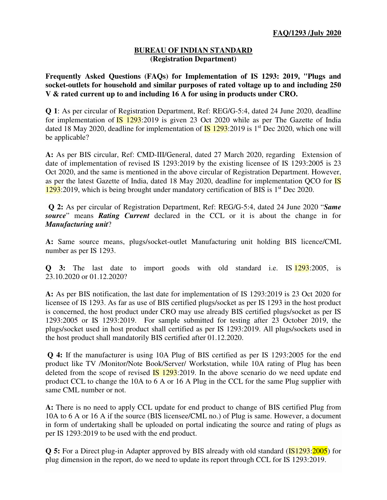## **BUREAU OF INDIAN STANDARD (Registration Department)**

**Frequently Asked Questions (FAQs) for Implementation of IS 1293: 2019, "Plugs and socket-outlets for household and similar purposes of rated voltage up to and including 250 V & rated current up to and including 16 A for using in products under CRO.** 

**Q 1**: As per circular of Registration Department, Ref: REG/G-5:4, dated 24 June 2020, deadline for implementation of  $\overline{IS}$  1293:2019 is given 23 Oct 2020 while as per The Gazette of India dated 18 May 2020, deadline for implementation of  $\overline{IS}$  1293:2019 is 1<sup>st</sup> Dec 2020, which one will be applicable?

**A:** As per BIS circular, Ref: CMD-III/General, dated 27 March 2020, regarding Extension of date of implementation of revised IS 1293:2019 by the existing licensee of IS 1293:2005 is 23 Oct 2020, and the same is mentioned in the above circular of Registration Department. However, as per the latest Gazette of India, dated 18 May 2020, deadline for implementation QCO for **IS**  $1293:2019$ , which is being brought under mandatory certification of BIS is  $1<sup>st</sup>$  Dec 2020.

**Q 2:** As per circular of Registration Department, Ref: REG/G-5:4, dated 24 June 2020 "*Same source*" means *Rating Current* declared in the CCL or it is about the change in for *Manufacturing unit*?

**A:** Same source means, plugs/socket-outlet Manufacturing unit holding BIS licence/CML number as per IS 1293.

**Q 3:** The last date to import goods with old standard i.e. IS 1293:2005, is 23.10.2020 or 01.12.2020?

**A:** As per BIS notification, the last date for implementation of IS 1293:2019 is 23 Oct 2020 for licensee of IS 1293. As far as use of BIS certified plugs/socket as per IS 1293 in the host product is concerned, the host product under CRO may use already BIS certified plugs/socket as per IS 1293:2005 or IS 1293:2019. For sample submitted for testing after 23 October 2019, the plugs/socket used in host product shall certified as per IS 1293:2019. All plugs/sockets used in the host product shall mandatorily BIS certified after 01.12.2020.

**Q 4:** If the manufacturer is using 10A Plug of BIS certified as per IS 1293:2005 for the end product like TV /Monitor/Note Book/Server/ Workstation, while 10A rating of Plug has been deleted from the scope of revised  $\overline{IS}$  1293:2019. In the above scenario do we need update end product CCL to change the 10A to 6 A or 16 A Plug in the CCL for the same Plug supplier with same CML number or not.

**A:** There is no need to apply CCL update for end product to change of BIS certified Plug from 10A to 6 A or 16 A if the source (BIS licensee/CML no.) of Plug is same. However, a document in form of undertaking shall be uploaded on portal indicating the source and rating of plugs as per IS 1293:2019 to be used with the end product.

**Q 5:** For a Direct plug-in Adapter approved by BIS already with old standard (**IS1293:2005**) for plug dimension in the report, do we need to update its report through CCL for IS 1293:2019.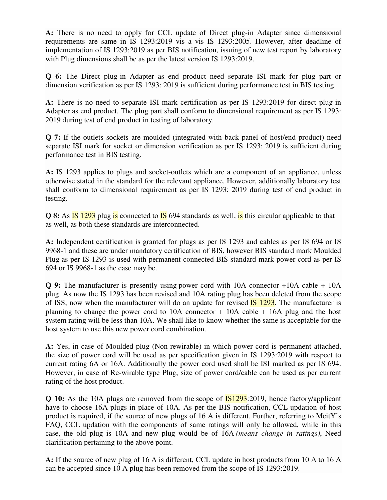**A:** There is no need to apply for CCL update of Direct plug-in Adapter since dimensional requirements are same in IS 1293:2019 vis a vis IS 1293:2005. However, after deadline of implementation of IS 1293:2019 as per BIS notification, issuing of new test report by laboratory with Plug dimensions shall be as per the latest version IS 1293:2019.

**Q 6:** The Direct plug-in Adapter as end product need separate ISI mark for plug part or dimension verification as per IS 1293: 2019 is sufficient during performance test in BIS testing.

**A:** There is no need to separate ISI mark certification as per IS 1293:2019 for direct plug-in Adapter as end product. The plug part shall conform to dimensional requirement as per IS 1293: 2019 during test of end product in testing of laboratory.

**Q 7:** If the outlets sockets are moulded (integrated with back panel of host/end product) need separate ISI mark for socket or dimension verification as per IS 1293: 2019 is sufficient during performance test in BIS testing.

**A:** IS 1293 applies to plugs and socket-outlets which are a component of an appliance, unless otherwise stated in the standard for the relevant appliance. However, additionally laboratory test shall conform to dimensional requirement as per IS 1293: 2019 during test of end product in testing.

**Q 8:** As **IS** 1293 plug is connected to **IS** 694 standards as well, is this circular applicable to that as well, as both these standards are interconnected.

**A:** Independent certification is granted for plugs as per IS 1293 and cables as per IS 694 or IS 9968-1 and these are under mandatory certification of BIS, however BIS standard mark Moulded Plug as per IS 1293 is used with permanent connected BIS standard mark power cord as per IS 694 or IS 9968-1 as the case may be.

**Q 9:** The manufacturer is presently using power cord with 10A connector +10A cable + 10A plug. As now the IS 1293 has been revised and 10A rating plug has been deleted from the scope of ISS, now when the manufacturer will do an update for revised  $\overline{IS}$  1293. The manufacturer is planning to change the power cord to 10A connector + 10A cable + 16A plug and the host system rating will be less than 10A. We shall like to know whether the same is acceptable for the host system to use this new power cord combination.

**A:** Yes, in case of Moulded plug (Non-rewirable) in which power cord is permanent attached, the size of power cord will be used as per specification given in IS 1293:2019 with respect to current rating 6A or 16A. Additionally the power cord used shall be ISI marked as per IS 694. However, in case of Re-wirable type Plug, size of power cord/cable can be used as per current rating of the host product.

**Q 10:** As the 10A plugs are removed from the scope of **IS1293**:2019, hence factory/applicant have to choose 16A plugs in place of 10A. As per the BIS notification, CCL updation of host product is required, if the source of new plugs of 16 A is different. Further, referring to MeitY's FAQ, CCL updation with the components of same ratings will only be allowed, while in this case, the old plug is 10A and new plug would be of 16A *(means change in ratings)*, Need clarification pertaining to the above point.

**A:** If the source of new plug of 16 A is different, CCL update in host products from 10 A to 16 A can be accepted since 10 A plug has been removed from the scope of IS 1293:2019.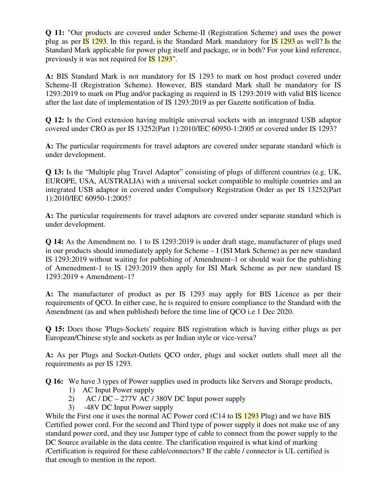**Q 11:** "Our products are covered under Scheme-II (Registration Scheme) and uses the power plug as per  $\overline{IS}$  1293. In this regard, is the Standard Mark mandatory for  $\overline{IS}$  1293 as well? Is the Standard Mark applicable for power plug itself and package, or in both? For your kind reference, previously it was not required for **IS** 1293".

**A:** BIS Standard Mark is not mandatory for IS 1293 to mark on host product covered under Scheme-II (Registration Scheme). However, BIS standard Mark shall be mandatory for IS 1293:2019 to mark on Plug and/or packaging as required in IS 1293:2019 with valid BIS licence after the last date of implementation of IS 1293:2019 as per Gazette notification of India.

**Q 12:** Is the Cord extension having multiple universal sockets with an integrated USB adaptor covered under CRO as per IS 13252(Part 1):2010/IEC 60950-1:2005 or covered under IS 1293?

**A:** The particular requirements for travel adaptors are covered under separate standard which is under development.

**Q 13:** Is the "Multiple plug Travel Adaptor" consisting of plugs of different countries (e.g. UK, EUROPE, USA, AUSTRALIA) with a universal socket compatible to multiple countries and an integrated USB adaptor in covered under Compulsory Registration Order as per IS 13252(Part 1):2010/IEC 60950-1:2005?

**A:** The particular requirements for travel adaptors are covered under separate standard which is under development.

**Q 14:** As the Amendment no. 1 to IS 1293:2019 is under draft stage, manufacturer of plugs used in our products should immediately apply for Scheme – I (ISI Mark Scheme) as per new standard IS 1293:2019 without waiting for publishing of Amendment–1 or should wait for the publishing of Amenedment-1 to IS 1293:2019 then apply for ISI Mark Scheme as per new standard IS 1293:2019 + Amendment–1?

**A:** The manufacturer of product as per IS 1293 may apply for BIS Licence as per their requirements of QCO. In either case, he is required to ensure compliance to the Standard with the Amendment (as and when published) before the time line of QCO i.e 1 Dec 2020.

**Q 15:** Does those 'Plugs-Sockets' require BIS registration which is having either plugs as per European/Chinese style and sockets as per Indian style or vice-versa?

**A:** As per Plugs and Socket-Outlets QCO order, plugs and socket outlets shall meet all the requirements as per IS 1293.

**Q 16:** We have 3 types of Power supplies used in products like Servers and Storage products,

- 1) AC Input Power supply
- 2) AC / DC 277V AC / 380V DC Input power supply
- 3) -48V DC Input Power supply

While the First one it uses the normal AC Power cord (C14 to  $\overline{IS}$  1293 Plug) and we have BIS Certified power cord. For the second and Third type of power supply it does not make use of any standard power cord, and they use Jumper type of cable to connect from the power supply to the DC Source available in the data centre. The clarification required is what kind of marking /Certification is required for these cable/connectors? If the cable / connector is UL certified is that enough to mention in the report.